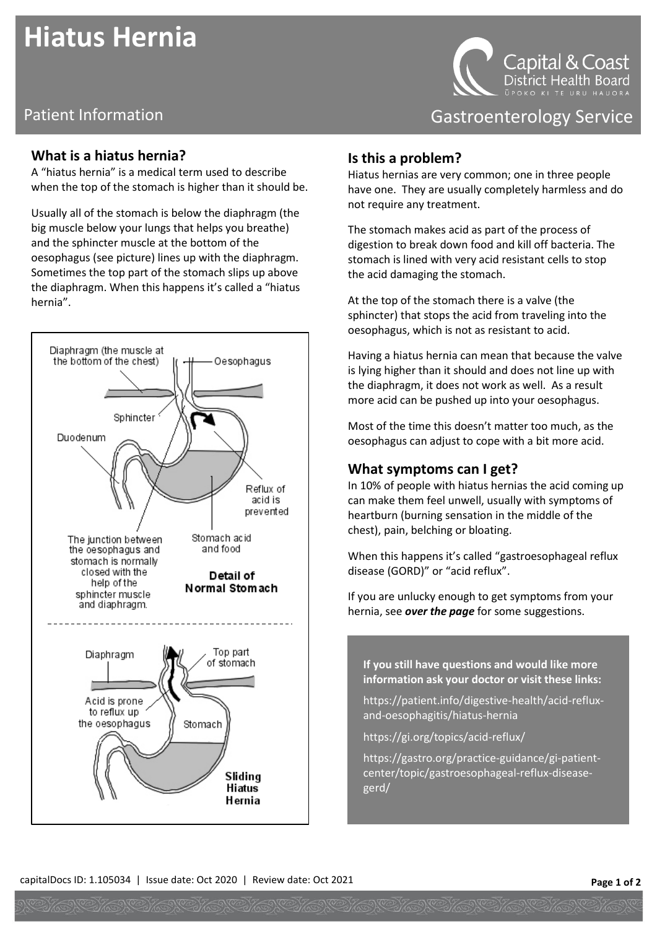# **Hiatus Hernia**

## Patient Information **Contract Contract Contract Contract Contract Contract Contract Contract Contract Contract Contract Contract Contract Contract Contract Contract Contract Contract Contract Contract Contract Contract Con**

#### **What is a hiatus hernia?**

A "hiatus hernia" is a medical term used to describe when the top of the stomach is higher than it should be.

Usually all of the stomach is below the diaphragm (the big muscle below your lungs that helps you breathe) and the sphincter muscle at the bottom of the oesophagus (see picture) lines up with the diaphragm. Sometimes the top part of the stomach slips up above the diaphragm. When this happens it's called a "hiatus hernia".



Capital & Coast District Health Board

#### **Is this a problem?**

Hiatus hernias are very common; one in three people have one. They are usually completely harmless and do not require any treatment.

The stomach makes acid as part of the process of digestion to break down food and kill off bacteria. The stomach is lined with very acid resistant cells to stop the acid damaging the stomach.

At the top of the stomach there is a valve (the sphincter) that stops the acid from traveling into the oesophagus, which is not as resistant to acid.

Having a hiatus hernia can mean that because the valve is lying higher than it should and does not line up with the diaphragm, it does not work as well. As a result more acid can be pushed up into your oesophagus.

Most of the time this doesn't matter too much, as the oesophagus can adjust to cope with a bit more acid.

### **What symptoms can I get?**

In 10% of people with hiatus hernias the acid coming up can make them feel unwell, usually with symptoms of heartburn (burning sensation in the middle of the chest), pain, belching or bloating.

When this happens it's called "gastroesophageal reflux disease (GORD)" or "acid reflux".

If you are unlucky enough to get symptoms from your hernia, see *over the page* for some suggestions.

**If you still have questions and would like more information ask your doctor or visit these links:** 

[https://patient.info/digestive-health/acid-reflux](https://patient.info/digestive-health/acid-reflux-and-oesophagitis/hiatus-hernia)[and-oesophagitis/hiatus-hernia](https://patient.info/digestive-health/acid-reflux-and-oesophagitis/hiatus-hernia)

<https://gi.org/topics/acid-reflux/>

[https://gastro.org/practice-guidance/gi-patient](https://gastro.org/practice-guidance/gi-patient-center/topic/gastroesophageal-reflux-disease-gerd/)[center/topic/gastroesophageal-reflux-disease](https://gastro.org/practice-guidance/gi-patient-center/topic/gastroesophageal-reflux-disease-gerd/)[gerd/](https://gastro.org/practice-guidance/gi-patient-center/topic/gastroesophageal-reflux-disease-gerd/)